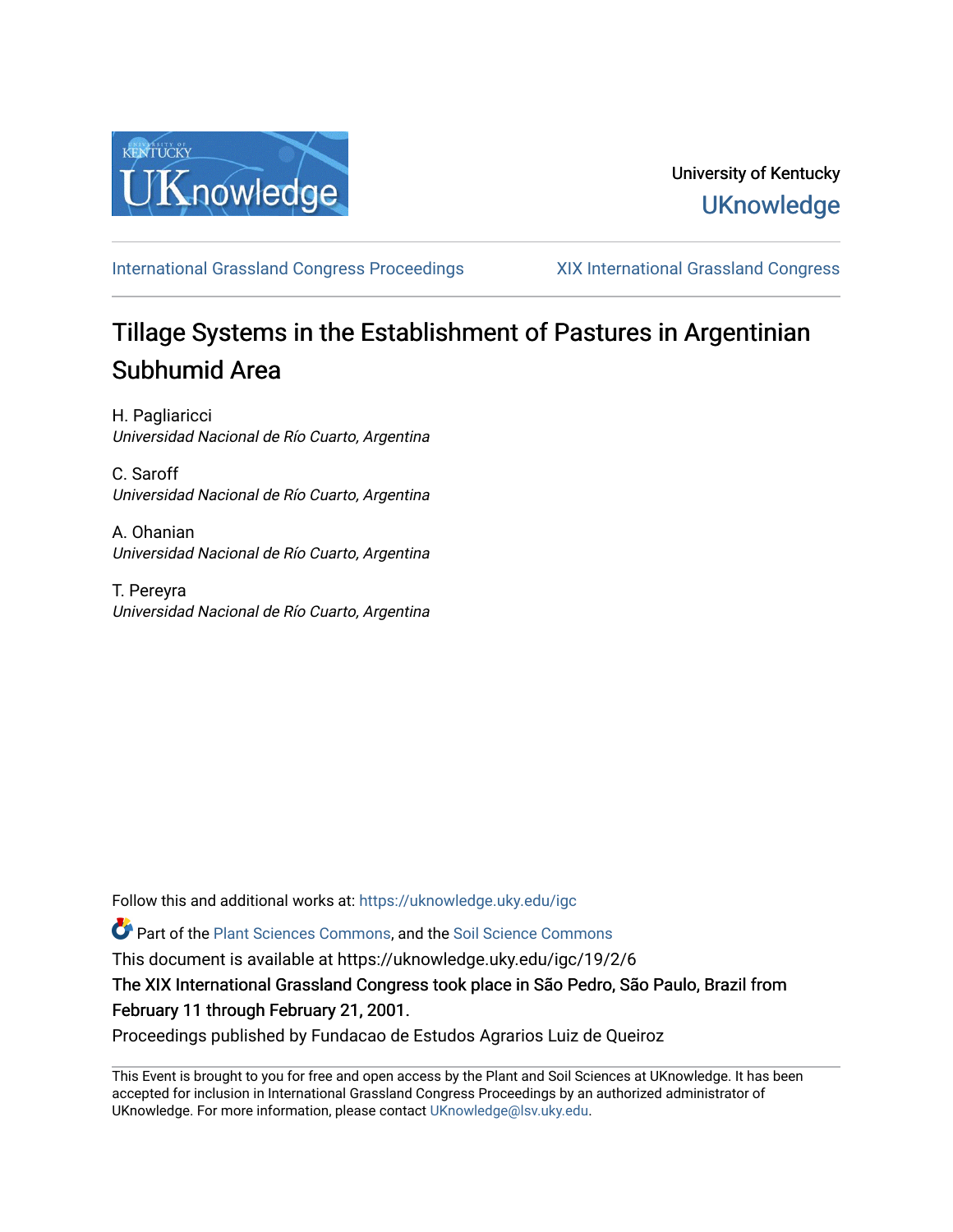

## University of Kentucky **UKnowledge**

[International Grassland Congress Proceedings](https://uknowledge.uky.edu/igc) [XIX International Grassland Congress](https://uknowledge.uky.edu/igc/19) 

# Tillage Systems in the Establishment of Pastures in Argentinian Subhumid Area

H. Pagliaricci Universidad Nacional de Río Cuarto, Argentina

C. Saroff Universidad Nacional de Río Cuarto, Argentina

A. Ohanian Universidad Nacional de Río Cuarto, Argentina

T. Pereyra Universidad Nacional de Río Cuarto, Argentina

Follow this and additional works at: [https://uknowledge.uky.edu/igc](https://uknowledge.uky.edu/igc?utm_source=uknowledge.uky.edu%2Figc%2F19%2F2%2F6&utm_medium=PDF&utm_campaign=PDFCoverPages) 

Part of the [Plant Sciences Commons](http://network.bepress.com/hgg/discipline/102?utm_source=uknowledge.uky.edu%2Figc%2F19%2F2%2F6&utm_medium=PDF&utm_campaign=PDFCoverPages), and the [Soil Science Commons](http://network.bepress.com/hgg/discipline/163?utm_source=uknowledge.uky.edu%2Figc%2F19%2F2%2F6&utm_medium=PDF&utm_campaign=PDFCoverPages) 

This document is available at https://uknowledge.uky.edu/igc/19/2/6

The XIX International Grassland Congress took place in São Pedro, São Paulo, Brazil from February 11 through February 21, 2001.

Proceedings published by Fundacao de Estudos Agrarios Luiz de Queiroz

This Event is brought to you for free and open access by the Plant and Soil Sciences at UKnowledge. It has been accepted for inclusion in International Grassland Congress Proceedings by an authorized administrator of UKnowledge. For more information, please contact [UKnowledge@lsv.uky.edu](mailto:UKnowledge@lsv.uky.edu).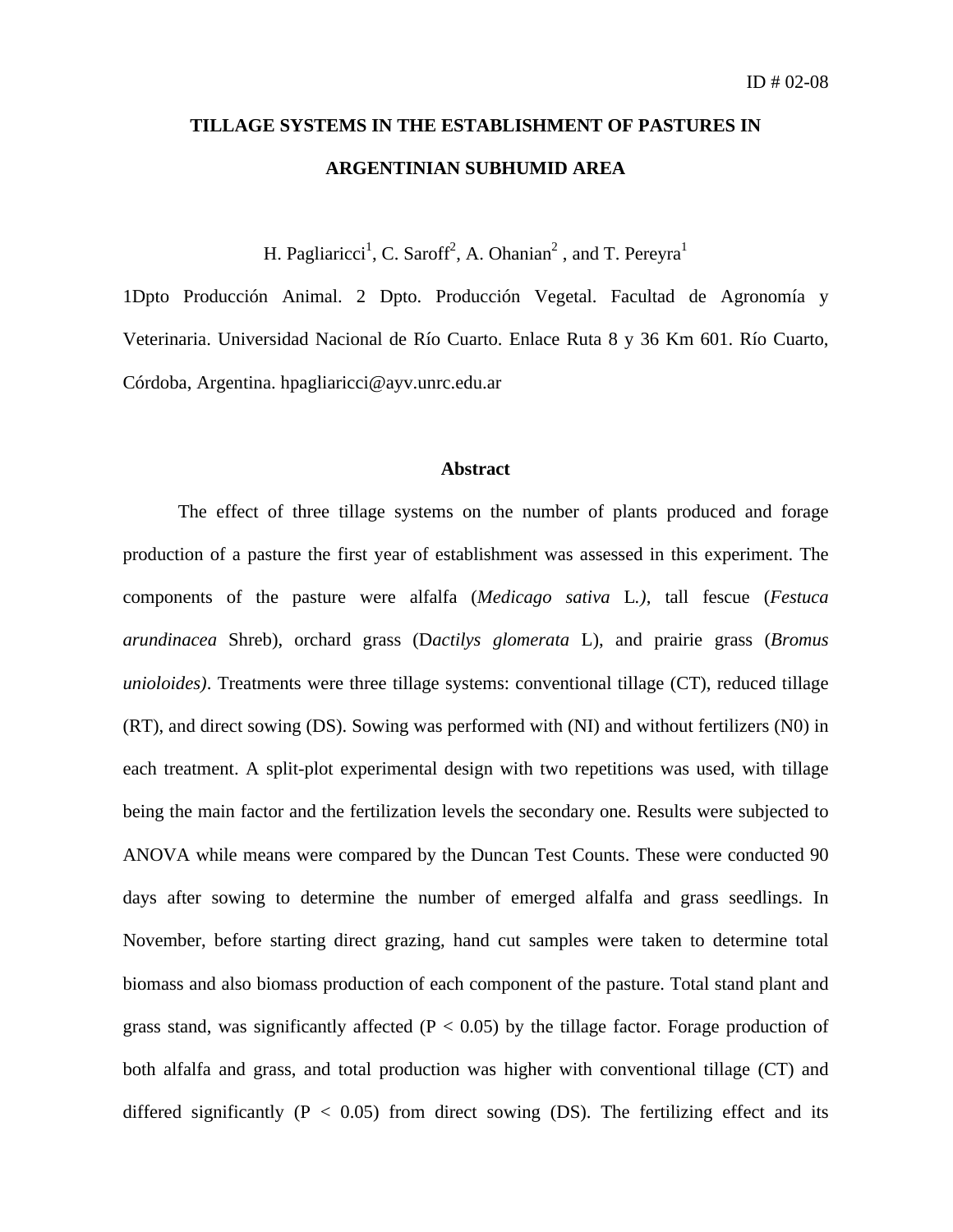## **TILLAGE SYSTEMS IN THE ESTABLISHMENT OF PASTURES IN ARGENTINIAN SUBHUMID AREA**

H. Pagliaricci<sup>1</sup>, C. Saroff<sup>2</sup>, A. Ohanian<sup>2</sup>, and T. Pereyra<sup>1</sup>

1Dpto Producción Animal. 2 Dpto. Producción Vegetal. Facultad de Agronomía y Veterinaria. Universidad Nacional de Río Cuarto. Enlace Ruta 8 y 36 Km 601. Río Cuarto, Córdoba, Argentina. hpagliaricci@ayv.unrc.edu.ar

#### **Abstract**

The effect of three tillage systems on the number of plants produced and forage production of a pasture the first year of establishment was assessed in this experiment. The components of the pasture were alfalfa (*Medicago sativa* L*.)*, tall fescue (*Festuca arundinacea* Shreb), orchard grass (D*actilys glomerata* L), and prairie grass (*Bromus unioloides)*. Treatments were three tillage systems: conventional tillage (CT), reduced tillage (RT), and direct sowing (DS). Sowing was performed with (NI) and without fertilizers (N0) in each treatment. A split-plot experimental design with two repetitions was used, with tillage being the main factor and the fertilization levels the secondary one. Results were subjected to ANOVA while means were compared by the Duncan Test Counts. These were conducted 90 days after sowing to determine the number of emerged alfalfa and grass seedlings. In November, before starting direct grazing, hand cut samples were taken to determine total biomass and also biomass production of each component of the pasture. Total stand plant and grass stand, was significantly affected ( $P < 0.05$ ) by the tillage factor. Forage production of both alfalfa and grass, and total production was higher with conventional tillage (CT) and differed significantly ( $P < 0.05$ ) from direct sowing (DS). The fertilizing effect and its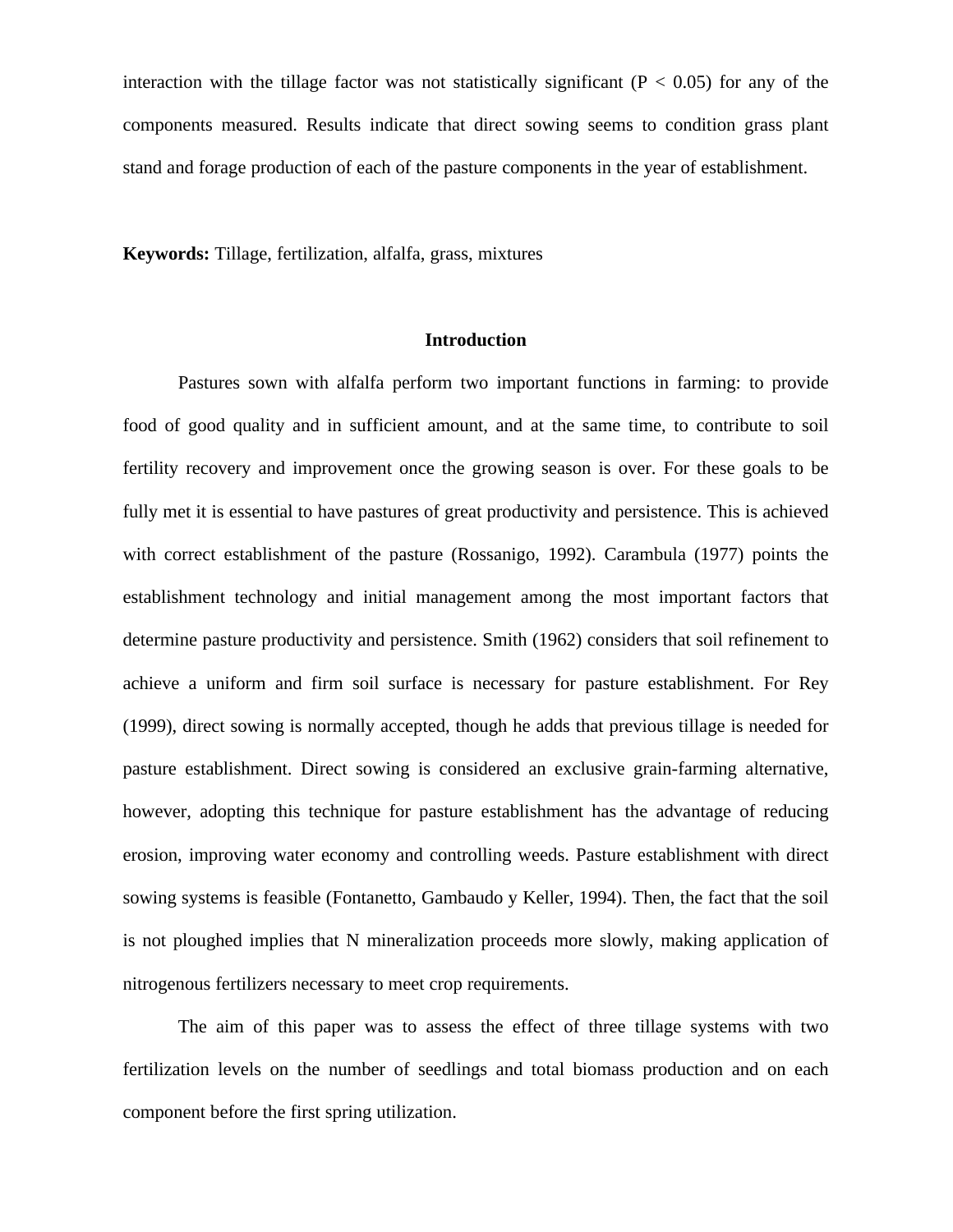interaction with the tillage factor was not statistically significant ( $P < 0.05$ ) for any of the components measured. Results indicate that direct sowing seems to condition grass plant stand and forage production of each of the pasture components in the year of establishment.

**Keywords:** Tillage, fertilization, alfalfa, grass, mixtures

### **Introduction**

Pastures sown with alfalfa perform two important functions in farming: to provide food of good quality and in sufficient amount, and at the same time, to contribute to soil fertility recovery and improvement once the growing season is over. For these goals to be fully met it is essential to have pastures of great productivity and persistence. This is achieved with correct establishment of the pasture (Rossanigo, 1992). Carambula (1977) points the establishment technology and initial management among the most important factors that determine pasture productivity and persistence. Smith (1962) considers that soil refinement to achieve a uniform and firm soil surface is necessary for pasture establishment. For Rey (1999), direct sowing is normally accepted, though he adds that previous tillage is needed for pasture establishment. Direct sowing is considered an exclusive grain-farming alternative, however, adopting this technique for pasture establishment has the advantage of reducing erosion, improving water economy and controlling weeds. Pasture establishment with direct sowing systems is feasible (Fontanetto, Gambaudo y Keller, 1994). Then, the fact that the soil is not ploughed implies that N mineralization proceeds more slowly, making application of nitrogenous fertilizers necessary to meet crop requirements.

The aim of this paper was to assess the effect of three tillage systems with two fertilization levels on the number of seedlings and total biomass production and on each component before the first spring utilization.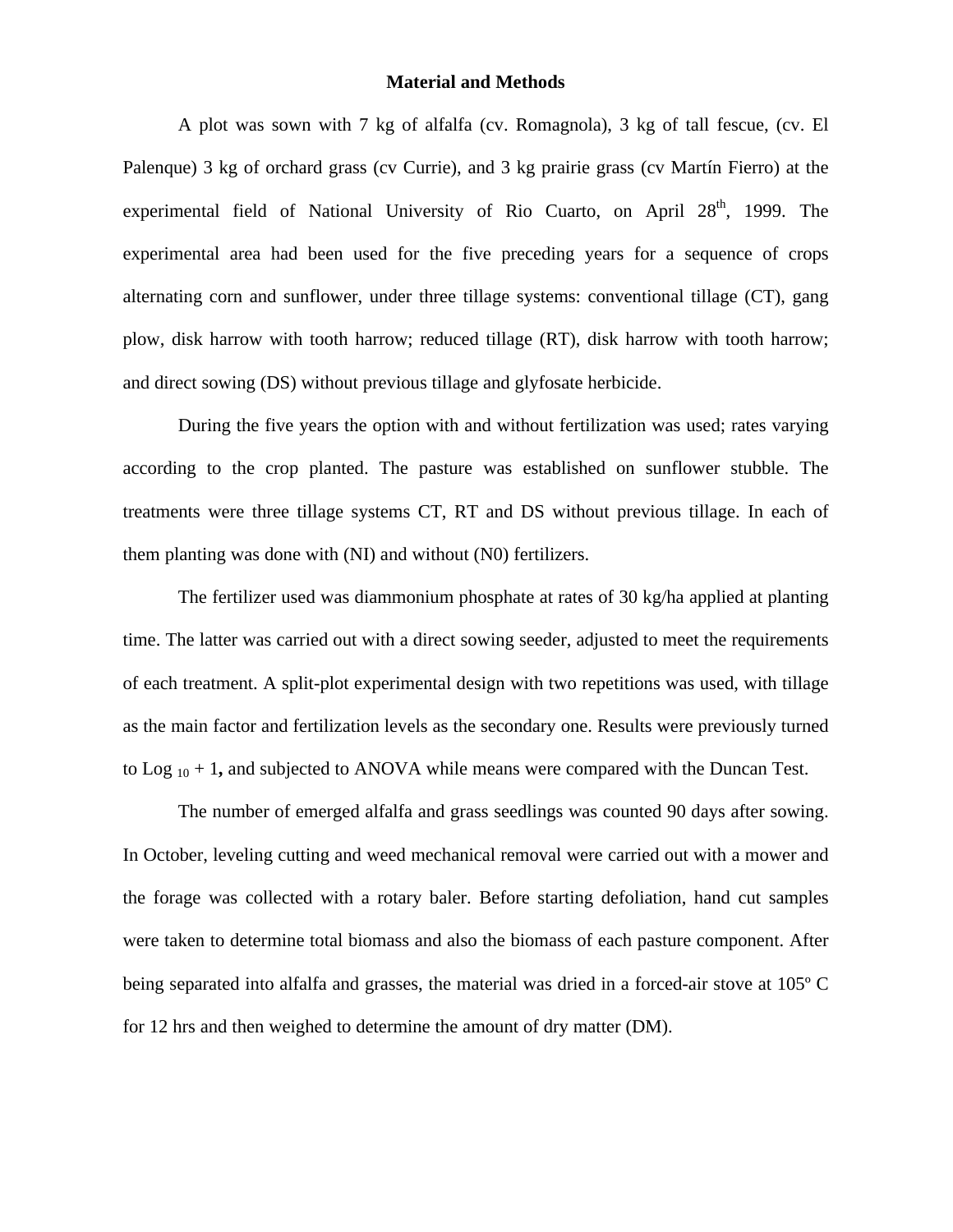#### **Material and Methods**

A plot was sown with 7 kg of alfalfa (cv. Romagnola), 3 kg of tall fescue, (cv. El Palenque) 3 kg of orchard grass (cv Currie), and 3 kg prairie grass (cv Martín Fierro) at the experimental field of National University of Rio Cuarto, on April  $28<sup>th</sup>$ , 1999. The experimental area had been used for the five preceding years for a sequence of crops alternating corn and sunflower, under three tillage systems: conventional tillage (CT), gang plow, disk harrow with tooth harrow; reduced tillage (RT), disk harrow with tooth harrow; and direct sowing (DS) without previous tillage and glyfosate herbicide.

During the five years the option with and without fertilization was used; rates varying according to the crop planted. The pasture was established on sunflower stubble. The treatments were three tillage systems CT, RT and DS without previous tillage. In each of them planting was done with (NI) and without (N0) fertilizers.

The fertilizer used was diammonium phosphate at rates of 30 kg/ha applied at planting time. The latter was carried out with a direct sowing seeder, adjusted to meet the requirements of each treatment. A split-plot experimental design with two repetitions was used, with tillage as the main factor and fertilization levels as the secondary one. Results were previously turned to Log 10 + 1**,** and subjected to ANOVA while means were compared with the Duncan Test.

The number of emerged alfalfa and grass seedlings was counted 90 days after sowing. In October, leveling cutting and weed mechanical removal were carried out with a mower and the forage was collected with a rotary baler. Before starting defoliation, hand cut samples were taken to determine total biomass and also the biomass of each pasture component. After being separated into alfalfa and grasses, the material was dried in a forced-air stove at 105º C for 12 hrs and then weighed to determine the amount of dry matter (DM).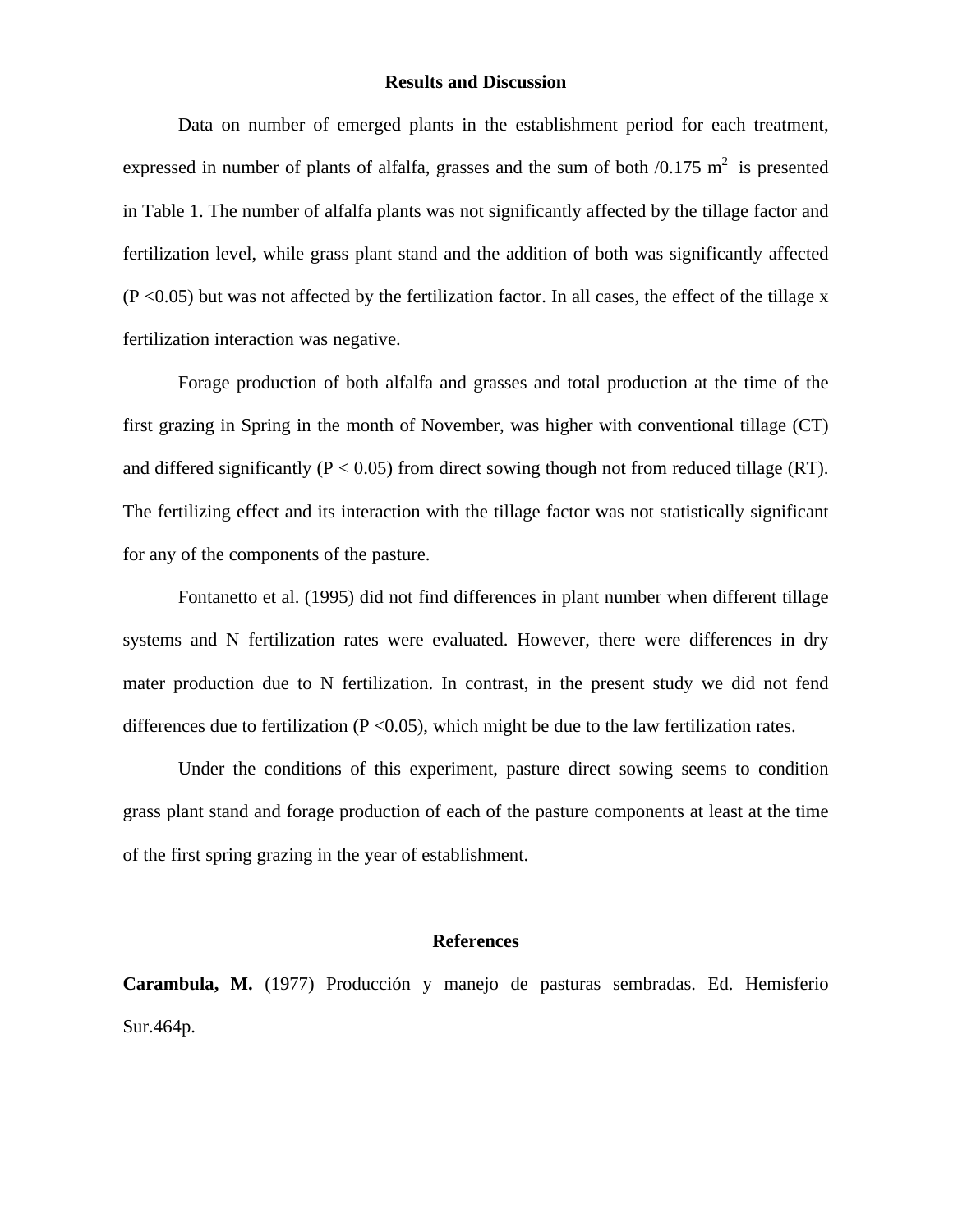#### **Results and Discussion**

Data on number of emerged plants in the establishment period for each treatment, expressed in number of plants of alfalfa, grasses and the sum of both  $/0.175$  m<sup>2</sup> is presented in Table 1. The number of alfalfa plants was not significantly affected by the tillage factor and fertilization level, while grass plant stand and the addition of both was significantly affected  $(P \le 0.05)$  but was not affected by the fertilization factor. In all cases, the effect of the tillage x fertilization interaction was negative.

Forage production of both alfalfa and grasses and total production at the time of the first grazing in Spring in the month of November, was higher with conventional tillage (CT) and differed significantly  $(P < 0.05)$  from direct sowing though not from reduced tillage  $(RT)$ . The fertilizing effect and its interaction with the tillage factor was not statistically significant for any of the components of the pasture.

Fontanetto et al. (1995) did not find differences in plant number when different tillage systems and N fertilization rates were evaluated. However, there were differences in dry mater production due to N fertilization. In contrast, in the present study we did not fend differences due to fertilization ( $P < 0.05$ ), which might be due to the law fertilization rates.

Under the conditions of this experiment, pasture direct sowing seems to condition grass plant stand and forage production of each of the pasture components at least at the time of the first spring grazing in the year of establishment.

### **References**

**Carambula, M.** (1977) Producción y manejo de pasturas sembradas. Ed. Hemisferio Sur.464p.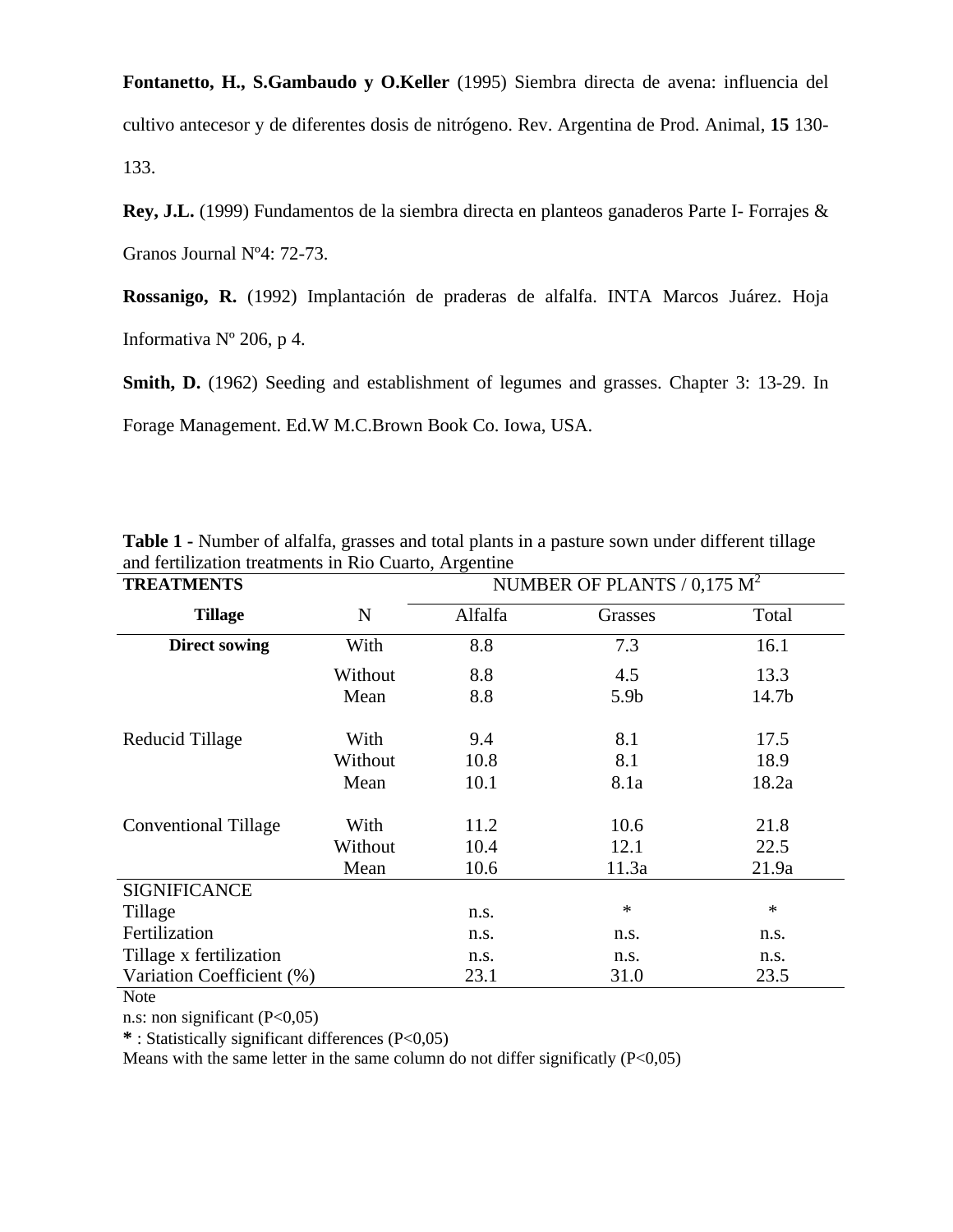**Fontanetto, H., S.Gambaudo y O.Keller** (1995) Siembra directa de avena: influencia del cultivo antecesor y de diferentes dosis de nitrógeno. Rev. Argentina de Prod. Animal, **15** 130- 133.

**Rey, J.L.** (1999) Fundamentos de la siembra directa en planteos ganaderos Parte I- Forrajes &

Granos Journal Nº4: 72-73.

**Rossanigo, R.** (1992) Implantación de praderas de alfalfa. INTA Marcos Juárez. Hoja Informativa Nº 206, p 4.

**Smith, D.** (1962) Seeding and establishment of legumes and grasses. Chapter 3: 13-29. In

Forage Management. Ed.W M.C.Brown Book Co. Iowa, USA.

| <b>TREATMENTS</b>           | NUMBER OF PLANTS / $0,175$ M <sup>2</sup> |         |         |        |  |
|-----------------------------|-------------------------------------------|---------|---------|--------|--|
| <b>Tillage</b>              | N                                         | Alfalfa | Grasses | Total  |  |
| <b>Direct sowing</b>        | With                                      | 8.8     | 7.3     | 16.1   |  |
|                             | Without                                   | 8.8     | 4.5     | 13.3   |  |
|                             | Mean                                      | 8.8     | 5.9b    | 14.7b  |  |
| Reducid Tillage             | With                                      | 9.4     | 8.1     | 17.5   |  |
|                             | Without                                   | 10.8    | 8.1     | 18.9   |  |
|                             | Mean                                      | 10.1    | 8.1a    | 18.2a  |  |
| <b>Conventional Tillage</b> | With                                      | 11.2    | 10.6    | 21.8   |  |
|                             | Without                                   | 10.4    | 12.1    | 22.5   |  |
|                             | Mean                                      | 10.6    | 11.3a   | 21.9a  |  |
| <b>SIGNIFICANCE</b>         |                                           |         |         |        |  |
| Tillage                     |                                           | n.s.    | $\ast$  | $\ast$ |  |
| Fertilization               |                                           | n.s.    | n.s.    | n.s.   |  |
| Tillage x fertilization     |                                           | n.s.    | n.s.    | n.s.   |  |
| Variation Coefficient (%)   |                                           | 23.1    | 31.0    | 23.5   |  |

**Table 1 -** Number of alfalfa, grasses and total plants in a pasture sown under different tillage and fertilization treatments in Rio Cuarto, Argentine

Note

n.s: non significant (P<0,05)

**\*** : Statistically significant differences (P<0,05)

Means with the same letter in the same column do not differ significatly (P<0,05)